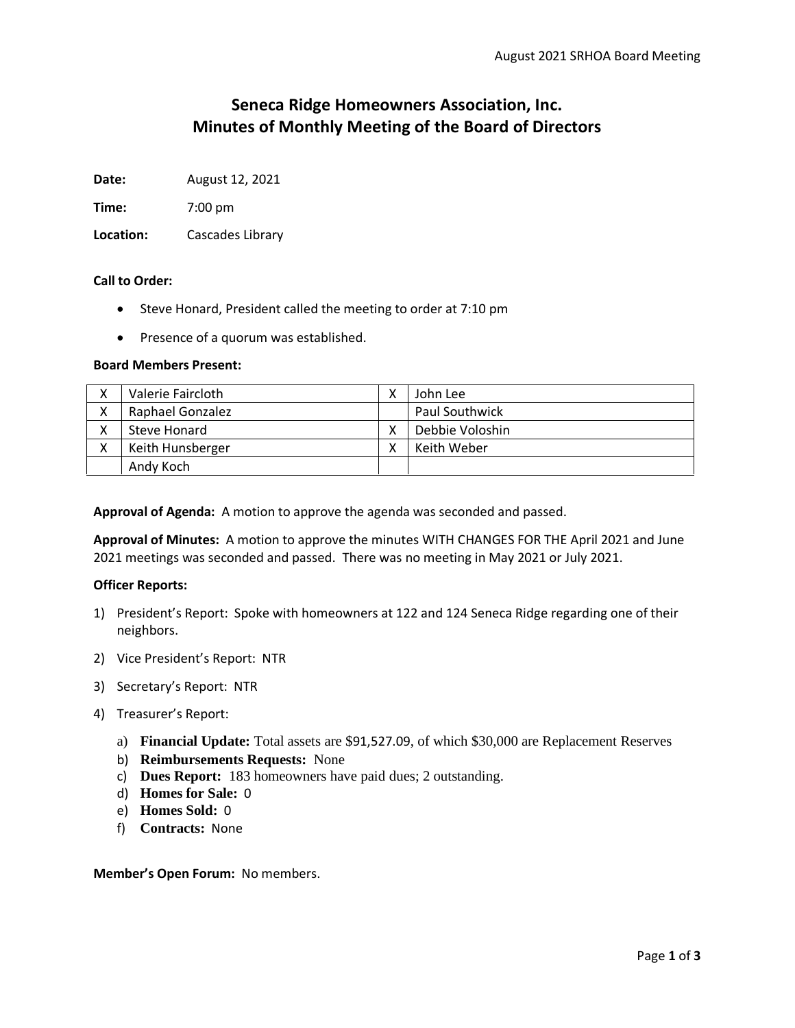# **Seneca Ridge Homeowners Association, Inc. Minutes of Monthly Meeting of the Board of Directors**

**Date:** August 12, 2021

**Time:** 7:00 pm

**Location:** Cascades Library

# **Call to Order:**

- Steve Honard, President called the meeting to order at 7:10 pm
- Presence of a quorum was established.

# **Board Members Present:**

| Valerie Faircloth | John Lee              |
|-------------------|-----------------------|
| Raphael Gonzalez  | <b>Paul Southwick</b> |
| Steve Honard      | Debbie Voloshin       |
| Keith Hunsberger  | Keith Weber           |
| Andy Koch         |                       |

**Approval of Agenda:** A motion to approve the agenda was seconded and passed.

**Approval of Minutes:** A motion to approve the minutes WITH CHANGES FOR THE April 2021 and June 2021 meetings was seconded and passed. There was no meeting in May 2021 or July 2021.

# **Officer Reports:**

- 1) President's Report: Spoke with homeowners at 122 and 124 Seneca Ridge regarding one of their neighbors.
- 2) Vice President's Report: NTR
- 3) Secretary's Report: NTR
- 4) Treasurer's Report:
	- a) **Financial Update:** Total assets are \$91,527.09, of which \$30,000 are Replacement Reserves
	- b) **Reimbursements Requests:** None
	- c) **Dues Report:** 183 homeowners have paid dues; 2 outstanding.
	- d) **Homes for Sale:** 0
	- e) **Homes Sold:** 0
	- f) **Contracts:** None

**Member's Open Forum:** No members.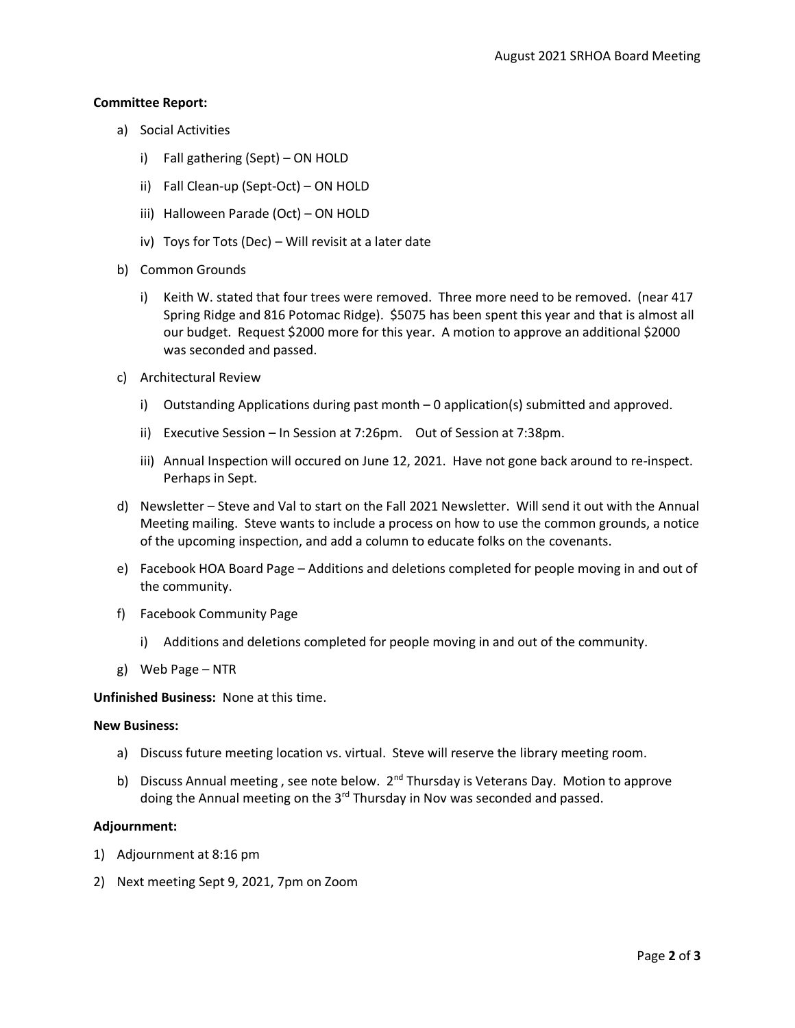#### **Committee Report:**

- a) Social Activities
	- i) Fall gathering (Sept) ON HOLD
	- ii) Fall Clean-up (Sept-Oct) ON HOLD
	- iii) Halloween Parade (Oct) ON HOLD
	- iv) Toys for Tots (Dec) Will revisit at a later date
- b) Common Grounds
	- i) Keith W. stated that four trees were removed. Three more need to be removed. (near 417 Spring Ridge and 816 Potomac Ridge). \$5075 has been spent this year and that is almost all our budget. Request \$2000 more for this year. A motion to approve an additional \$2000 was seconded and passed.
- c) Architectural Review
	- i) Outstanding Applications during past month 0 application(s) submitted and approved.
	- ii) Executive Session In Session at 7:26pm. Out of Session at 7:38pm.
	- iii) Annual Inspection will occured on June 12, 2021. Have not gone back around to re-inspect. Perhaps in Sept.
- d) Newsletter Steve and Val to start on the Fall 2021 Newsletter. Will send it out with the Annual Meeting mailing. Steve wants to include a process on how to use the common grounds, a notice of the upcoming inspection, and add a column to educate folks on the covenants.
- e) Facebook HOA Board Page Additions and deletions completed for people moving in and out of the community.
- f) Facebook Community Page
	- i) Additions and deletions completed for people moving in and out of the community.
- g) Web Page NTR

**Unfinished Business:** None at this time.

#### **New Business:**

- a) Discuss future meeting location vs. virtual. Steve will reserve the library meeting room.
- b) Discuss Annual meeting, see note below.  $2^{nd}$  Thursday is Veterans Day. Motion to approve doing the Annual meeting on the 3<sup>rd</sup> Thursday in Nov was seconded and passed.

# **Adjournment:**

- 1) Adjournment at 8:16 pm
- 2) Next meeting Sept 9, 2021, 7pm on Zoom